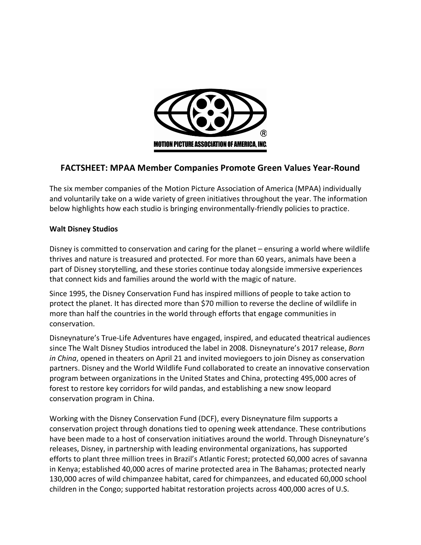

# **FACTSHEET: MPAA Member Companies Promote Green Values Year-Round**

The six member companies of the Motion Picture Association of America (MPAA) individually and voluntarily take on a wide variety of green initiatives throughout the year. The information below highlights how each studio is bringing environmentally-friendly policies to practice.

## **Walt Disney Studios**

Disney is committed to conservation and caring for the planet – ensuring a world where wildlife thrives and nature is treasured and protected. For more than 60 years, animals have been a part of Disney storytelling, and these stories continue today alongside immersive experiences that connect kids and families around the world with the magic of nature.

Since 1995, the Disney Conservation Fund has inspired millions of people to take action to protect the planet. It has directed more than \$70 million to reverse the decline of wildlife in more than half the countries in the world through efforts that engage communities in conservation.

Disneynature's True-Life Adventures have engaged, inspired, and educated theatrical audiences since The Walt Disney Studios introduced the label in 2008. Disneynature's 2017 release, *Born in China*, opened in theaters on April 21 and invited moviegoers to join Disney as conservation partners. Disney and the World Wildlife Fund collaborated to create an innovative conservation program between organizations in the United States and China, protecting 495,000 acres of forest to restore key corridors for wild pandas, and establishing a new snow leopard conservation program in China.

Working with the Disney Conservation Fund (DCF), every Disneynature film supports a conservation project through donations tied to opening week attendance. These contributions have been made to a host of conservation initiatives around the world. Through Disneynature's releases, Disney, in partnership with leading environmental organizations, has supported efforts to plant three million trees in Brazil's Atlantic Forest; protected 60,000 acres of savanna in Kenya; established 40,000 acres of marine protected area in The Bahamas; protected nearly 130,000 acres of wild chimpanzee habitat, cared for chimpanzees, and educated 60,000 school children in the Congo; supported habitat restoration projects across 400,000 acres of U.S.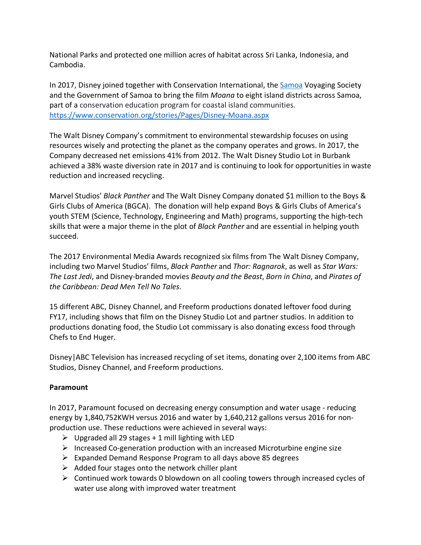National Parks and protected one million acres of habitat across Sri Lanka, Indonesia, and Cambodia.

In 2017, Disney joined together with Conservation International, the Samoa Voyaging Society and the Government of Samoa to bring the film *Moana* to eight island districts across Samoa, part of a conservation education program for coastal island communities. https://www.conservation.org/stories/Pages/Disney-Moana.aspx

The Walt Disney Company's commitment to environmental stewardship focuses on using resources wisely and protecting the planet as the company operates and grows. In 2017, the Company decreased net emissions 41% from 2012. The Walt Disney Studio Lot in Burbank achieved a 38% waste diversion rate in 2017 and is continuing to look for opportunities in waste reduction and increased recycling.

Marvel Studios' *Black Panther* and The Walt Disney Company donated \$1 million to the Boys & Girls Clubs of America (BGCA). The donation will help expand Boys & Girls Clubs of America's youth STEM (Science, Technology, Engineering and Math) programs, supporting the high-tech skills that were a major theme in the plot of *Black Panther* and are essential in helping youth succeed.

The 2017 Environmental Media Awards recognized six films from The Walt Disney Company, including two Marvel Studios' films, *Black Panther* and *Thor: Ragnarok*, as well as *Star Wars: The Last Jedi*, and Disney-branded movies *Beauty and the Beast*, *Born in China*, and *Pirates of the Caribbean: Dead Men Tell No Tales*.

15 different ABC, Disney Channel, and Freeform productions donated leftover food during FY17, including shows that film on the Disney Studio Lot and partner studios. In addition to productions donating food, the Studio Lot commissary is also donating excess food through Chefs to End Huger.

Disney|ABC Television has increased recycling of set items, donating over 2,100 items from ABC Studios, Disney Channel, and Freeform productions.

## **Paramount**

In 2017, Paramount focused on decreasing energy consumption and water usage - reducing energy by 1,840,752KWH versus 2016 and water by 1,640,212 gallons versus 2016 for nonproduction use. These reductions were achieved in several ways:

- $\triangleright$  Upgraded all 29 stages + 1 mill lighting with LED
- $\triangleright$  Increased Co-generation production with an increased Microturbine engine size
- $\triangleright$  Expanded Demand Response Program to all days above 85 degrees
- $\triangleright$  Added four stages onto the network chiller plant
- $\triangleright$  Continued work towards 0 blowdown on all cooling towers through increased cycles of water use along with improved water treatment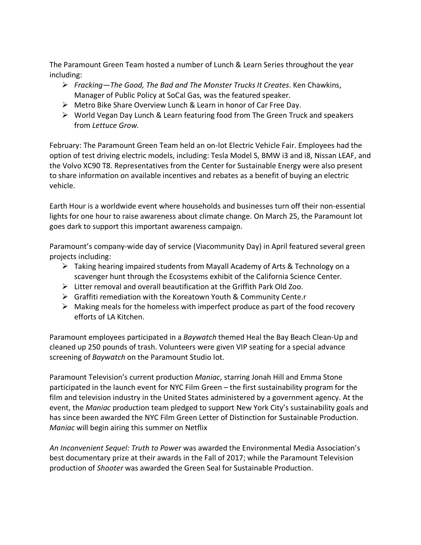The Paramount Green Team hosted a number of Lunch & Learn Series throughout the year including:

- Ø *Fracking—The Good, The Bad and The Monster Trucks It Creates*. Ken Chawkins, Manager of Public Policy at SoCal Gas, was the featured speaker.
- $\triangleright$  Metro Bike Share Overview Lunch & Learn in honor of Car Free Day.
- $\triangleright$  World Vegan Day Lunch & Learn featuring food from The Green Truck and speakers from *Lettuce Grow.*

February: The Paramount Green Team held an on-lot Electric Vehicle Fair. Employees had the option of test driving electric models, including: Tesla Model S, BMW i3 and i8, Nissan LEAF, and the Volvo XC90 T8. Representatives from the Center for Sustainable Energy were also present to share information on available incentives and rebates as a benefit of buying an electric vehicle.

Earth Hour is a worldwide event where households and businesses turn off their non-essential lights for one hour to raise awareness about climate change. On March 25, the Paramount lot goes dark to support this important awareness campaign.

Paramount's company-wide day of service (Viacommunity Day) in April featured several green projects including:

- $\triangleright$  Taking hearing impaired students from Mayall Academy of Arts & Technology on a scavenger hunt through the Ecosystems exhibit of the California Science Center.
- $\triangleright$  Litter removal and overall beautification at the Griffith Park Old Zoo.
- $\triangleright$  Graffiti remediation with the Koreatown Youth & Community Cente.r
- $\triangleright$  Making meals for the homeless with imperfect produce as part of the food recovery efforts of LA Kitchen.

Paramount employees participated in a *Baywatch* themed Heal the Bay Beach Clean-Up and cleaned up 250 pounds of trash. Volunteers were given VIP seating for a special advance screening of *Baywatch* on the Paramount Studio lot.

Paramount Television's current production *Maniac*, starring Jonah Hill and Emma Stone participated in the launch event for NYC Film Green – the first sustainability program for the film and television industry in the United States administered by a government agency. At the event, the *Maniac* production team pledged to support New York City's sustainability goals and has since been awarded the NYC Film Green Letter of Distinction for Sustainable Production. *Maniac* will begin airing this summer on Netflix

*An Inconvenient Sequel: Truth to Power* was awarded the Environmental Media Association's best documentary prize at their awards in the Fall of 2017; while the Paramount Television production of *Shooter* was awarded the Green Seal for Sustainable Production.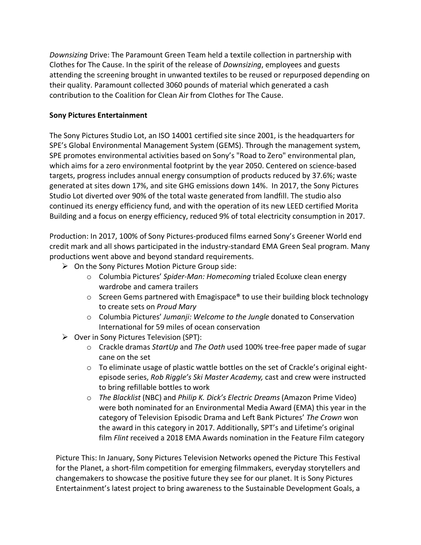*Downsizing* Drive: The Paramount Green Team held a textile collection in partnership with Clothes for The Cause. In the spirit of the release of *Downsizing*, employees and guests attending the screening brought in unwanted textiles to be reused or repurposed depending on their quality. Paramount collected 3060 pounds of material which generated a cash contribution to the Coalition for Clean Air from Clothes for The Cause.

# **Sony Pictures Entertainment**

The Sony Pictures Studio Lot, an ISO 14001 certified site since 2001, is the headquarters for SPE's Global Environmental Management System (GEMS). Through the management system, SPE promotes environmental activities based on Sony's "Road to Zero" environmental plan, which aims for a zero environmental footprint by the year 2050. Centered on science-based targets, progress includes annual energy consumption of products reduced by 37.6%; waste generated at sites down 17%, and site GHG emissions down 14%. In 2017, the Sony Pictures Studio Lot diverted over 90% of the total waste generated from landfill. The studio also continued its energy efficiency fund, and with the operation of its new LEED certified Morita Building and a focus on energy efficiency, reduced 9% of total electricity consumption in 2017.

Production: In 2017, 100% of Sony Pictures-produced films earned Sony's Greener World end credit mark and all shows participated in the industry-standard EMA Green Seal program. Many productions went above and beyond standard requirements.

- $\triangleright$  On the Sony Pictures Motion Picture Group side:
	- o Columbia Pictures' *Spider-Man: Homecoming* trialed Ecoluxe clean energy wardrobe and camera trailers
	- $\circ$  Screen Gems partnered with Emagispace® to use their building block technology to create sets on *Proud Mary*
	- o Columbia Pictures' *Jumanji: Welcome to the Jungle* donated to Conservation International for 59 miles of ocean conservation
- $\triangleright$  Over in Sony Pictures Television (SPT):
	- o Crackle dramas *StartUp* and *The Oath* used 100% tree-free paper made of sugar cane on the set
	- $\circ$  To eliminate usage of plastic wattle bottles on the set of Crackle's original eightepisode series, *Rob Riggle's Ski Master Academy,* cast and crew were instructed to bring refillable bottles to work
	- o *The Blacklist* (NBC) and *Philip K. Dick's Electric Dreams* (Amazon Prime Video) were both nominated for an Environmental Media Award (EMA) this year in the category of Television Episodic Drama and Left Bank Pictures' *The Crown* won the award in this category in 2017. Additionally, SPT's and Lifetime's original film *Flint* received a 2018 EMA Awards nomination in the Feature Film category

Picture This: In January, Sony Pictures Television Networks opened the Picture This Festival for the Planet, a short-film competition for emerging filmmakers, everyday storytellers and changemakers to showcase the positive future they see for our planet. It is Sony Pictures Entertainment's latest project to bring awareness to the Sustainable Development Goals, a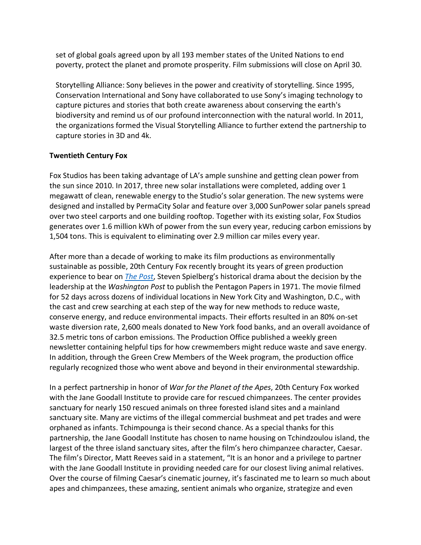set of global goals agreed upon by all 193 member states of the United Nations to end poverty, protect the planet and promote prosperity. Film submissions will close on April 30.

Storytelling Alliance: Sony believes in the power and creativity of storytelling. Since 1995, Conservation International and Sony have collaborated to use Sony's imaging technology to capture pictures and stories that both create awareness about conserving the earth's biodiversity and remind us of our profound interconnection with the natural world. In 2011, the organizations formed the Visual Storytelling Alliance to further extend the partnership to capture stories in 3D and 4k.

## **Twentieth Century Fox**

Fox Studios has been taking advantage of LA's ample sunshine and getting clean power from the sun since 2010. In 2017, three new solar installations were completed, adding over 1 megawatt of clean, renewable energy to the Studio's solar generation. The new systems were designed and installed by PermaCity Solar and feature over 3,000 SunPower solar panels spread over two steel carports and one building rooftop. Together with its existing solar, Fox Studios generates over 1.6 million kWh of power from the sun every year, reducing carbon emissions by 1,504 tons. This is equivalent to eliminating over 2.9 million car miles every year.

After more than a decade of working to make its film productions as environmentally sustainable as possible, 20th Century Fox recently brought its years of green production experience to bear on *The Post*, Steven Spielberg's historical drama about the decision by the leadership at the *Washington Post* to publish the Pentagon Papers in 1971. The movie filmed for 52 days across dozens of individual locations in New York City and Washington, D.C., with the cast and crew searching at each step of the way for new methods to reduce waste, conserve energy, and reduce environmental impacts. Their efforts resulted in an 80% on-set waste diversion rate, 2,600 meals donated to New York food banks, and an overall avoidance of 32.5 metric tons of carbon emissions. The Production Office published a weekly green newsletter containing helpful tips for how crewmembers might reduce waste and save energy. In addition, through the Green Crew Members of the Week program, the production office regularly recognized those who went above and beyond in their environmental stewardship.

In a perfect partnership in honor of *War for the Planet of the Apes*, 20th Century Fox worked with the Jane Goodall Institute to provide care for rescued chimpanzees. The center provides sanctuary for nearly 150 rescued animals on three forested island sites and a mainland sanctuary site. Many are victims of the illegal commercial bushmeat and pet trades and were orphaned as infants. Tchimpounga is their second chance. As a special thanks for this partnership, the Jane Goodall Institute has chosen to name housing on Tchindzoulou island, the largest of the three island sanctuary sites, after the film's hero chimpanzee character, Caesar. The film's Director, Matt Reeves said in a statement, "It is an honor and a privilege to partner with the Jane Goodall Institute in providing needed care for our closest living animal relatives. Over the course of filming Caesar's cinematic journey, it's fascinated me to learn so much about apes and chimpanzees, these amazing, sentient animals who organize, strategize and even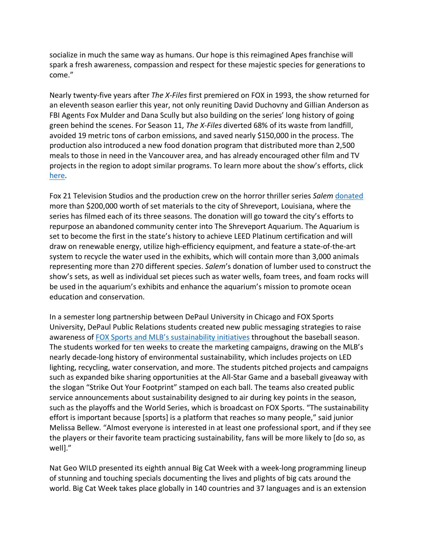socialize in much the same way as humans. Our hope is this reimagined Apes franchise will spark a fresh awareness, compassion and respect for these majestic species for generations to come."

Nearly twenty-five years after *The X-Files* first premiered on FOX in 1993, the show returned for an eleventh season earlier this year, not only reuniting David Duchovny and Gillian Anderson as FBI Agents Fox Mulder and Dana Scully but also building on the series' long history of going green behind the scenes. For Season 11, *The X-Files* diverted 68% of its waste from landfill, avoided 19 metric tons of carbon emissions, and saved nearly \$150,000 in the process. The production also introduced a new food donation program that distributed more than 2,500 meals to those in need in the Vancouver area, and has already encouraged other film and TV projects in the region to adopt similar programs. To learn more about the show's efforts, click here.

Fox 21 Television Studios and the production crew on the horror thriller series *Salem* donated more than \$200,000 worth of set materials to the city of Shreveport, Louisiana, where the series has filmed each of its three seasons. The donation will go toward the city's efforts to repurpose an abandoned community center into The Shreveport Aquarium. The Aquarium is set to become the first in the state's history to achieve LEED Platinum certification and will draw on renewable energy, utilize high-efficiency equipment, and feature a state-of-the-art system to recycle the water used in the exhibits, which will contain more than 3,000 animals representing more than 270 different species. *Salem*'s donation of lumber used to construct the show's sets, as well as individual set pieces such as water wells, foam trees, and foam rocks will be used in the aquarium's exhibits and enhance the aquarium's mission to promote ocean education and conservation.

In a semester long partnership between DePaul University in Chicago and FOX Sports University, DePaul Public Relations students created new public messaging strategies to raise awareness of FOX Sports and MLB's sustainability initiatives throughout the baseball season. The students worked for ten weeks to create the marketing campaigns, drawing on the MLB's nearly decade-long history of environmental sustainability, which includes projects on LED lighting, recycling, water conservation, and more. The students pitched projects and campaigns such as expanded bike sharing opportunities at the All-Star Game and a baseball giveaway with the slogan "Strike Out Your Footprint" stamped on each ball. The teams also created public service announcements about sustainability designed to air during key points in the season, such as the playoffs and the World Series, which is broadcast on FOX Sports. "The sustainability effort is important because [sports] is a platform that reaches so many people," said junior Melissa Bellew. "Almost everyone is interested in at least one professional sport, and if they see the players or their favorite team practicing sustainability, fans will be more likely to [do so, as well]."

Nat Geo WILD presented its eighth annual Big Cat Week with a week-long programming lineup of stunning and touching specials documenting the lives and plights of big cats around the world. Big Cat Week takes place globally in 140 countries and 37 languages and is an extension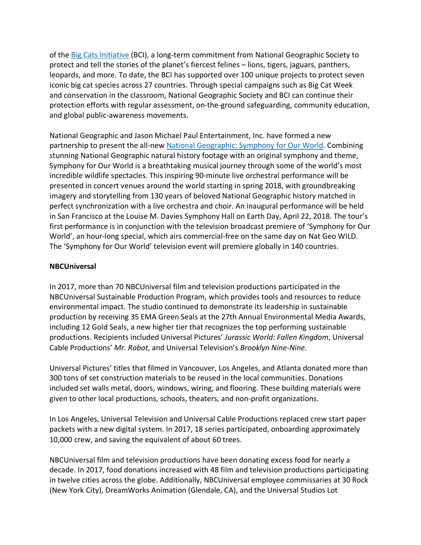of the Big Cats Initiative (BCI), a long-term commitment from National Geographic Society to protect and tell the stories of the planet's fiercest felines – lions, tigers, jaguars, panthers, leopards, and more. To date, the BCI has supported over 100 unique projects to protect seven iconic big cat species across 27 countries. Through special campaigns such as Big Cat Week and conservation in the classroom, National Geographic Society and BCI can continue their protection efforts with regular assessment, on-the-ground safeguarding, community education, and global public-awareness movements.

National Geographic and Jason Michael Paul Entertainment, Inc. have formed a new partnership to present the all-new National Geographic: Symphony for Our World. Combining stunning National Geographic natural history footage with an original symphony and theme, Symphony for Our World is a breathtaking musical journey through some of the world's most incredible wildlife spectacles. This inspiring 90-minute live orchestral performance will be presented in concert venues around the world starting in spring 2018, with groundbreaking imagery and storytelling from 130 years of beloved National Geographic history matched in perfect synchronization with a live orchestra and choir. An inaugural performance will be held in San Francisco at the Louise M. Davies Symphony Hall on Earth Day, April 22, 2018. The tour's first performance is in conjunction with the television broadcast premiere of 'Symphony for Our World', an hour-long special, which airs commercial-free on the same day on Nat Geo WILD. The 'Symphony for Our World' television event will premiere globally in 140 countries.

## **NBCUniversal**

In 2017, more than 70 NBCUniversal film and television productions participated in the NBCUniversal Sustainable Production Program, which provides tools and resources to reduce environmental impact. The studio continued to demonstrate its leadership in sustainable production by receiving 35 EMA Green Seals at the 27th Annual Environmental Media Awards, including 12 Gold Seals, a new higher tier that recognizes the top performing sustainable productions. Recipients included Universal Pictures' *Jurassic World: Fallen Kingdom*, Universal Cable Productions' *Mr. Robot*, and Universal Television's *Brooklyn Nine-Nine.* 

Universal Pictures' titles that filmed in Vancouver, Los Angeles, and Atlanta donated more than 300 tons of set construction materials to be reused in the local communities. Donations included set walls metal, doors, windows, wiring, and flooring. These building materials were given to other local productions, schools, theaters, and non-profit organizations.

In Los Angeles, Universal Television and Universal Cable Productions replaced crew start paper packets with a new digital system. In 2017, 18 series participated, onboarding approximately 10,000 crew, and saving the equivalent of about 60 trees.

NBCUniversal film and television productions have been donating excess food for nearly a decade. In 2017, food donations increased with 48 film and television productions participating in twelve cities across the globe. Additionally, NBCUniversal employee commissaries at 30 Rock (New York City), DreamWorks Animation (Glendale, CA), and the Universal Studios Lot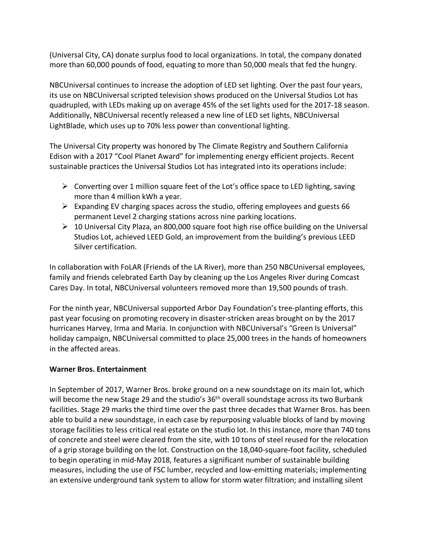(Universal City, CA) donate surplus food to local organizations. In total, the company donated more than 60,000 pounds of food, equating to more than 50,000 meals that fed the hungry.

NBCUniversal continues to increase the adoption of LED set lighting. Over the past four years, its use on NBCUniversal scripted television shows produced on the Universal Studios Lot has quadrupled, with LEDs making up on average 45% of the set lights used for the 2017-18 season. Additionally, NBCUniversal recently released a new line of LED set lights, NBCUniversal LightBlade, which uses up to 70% less power than conventional lighting.

The Universal City property was honored by The Climate Registry and Southern California Edison with a 2017 "Cool Planet Award" for implementing energy efficient projects. Recent sustainable practices the Universal Studios Lot has integrated into its operations include:

- $\triangleright$  Converting over 1 million square feet of the Lot's office space to LED lighting, saving more than 4 million kWh a year.
- $\triangleright$  Expanding EV charging spaces across the studio, offering employees and guests 66 permanent Level 2 charging stations across nine parking locations.
- $\triangleright$  10 Universal City Plaza, an 800,000 square foot high rise office building on the Universal Studios Lot, achieved LEED Gold, an improvement from the building's previous LEED Silver certification.

In collaboration with FoLAR (Friends of the LA River), more than 250 NBCUniversal employees, family and friends celebrated Earth Day by cleaning up the Los Angeles River during Comcast Cares Day. In total, NBCUniversal volunteers removed more than 19,500 pounds of trash.

For the ninth year, NBCUniversal supported Arbor Day Foundation's tree-planting efforts, this past year focusing on promoting recovery in disaster-stricken areas brought on by the 2017 hurricanes Harvey, Irma and Maria. In conjunction with NBCUniversal's "Green Is Universal" holiday campaign, NBCUniversal committed to place 25,000 trees in the hands of homeowners in the affected areas.

## **Warner Bros. Entertainment**

In September of 2017, Warner Bros. broke ground on a new soundstage on its main lot, which will become the new Stage 29 and the studio's 36<sup>th</sup> overall soundstage across its two Burbank facilities. Stage 29 marks the third time over the past three decades that Warner Bros. has been able to build a new soundstage, in each case by repurposing valuable blocks of land by moving storage facilities to less critical real estate on the studio lot. In this instance, more than 740 tons of concrete and steel were cleared from the site, with 10 tons of steel reused for the relocation of a grip storage building on the lot. Construction on the 18,040-square-foot facility, scheduled to begin operating in mid-May 2018, features a significant number of sustainable building measures, including the use of FSC lumber, recycled and low-emitting materials; implementing an extensive underground tank system to allow for storm water filtration; and installing silent